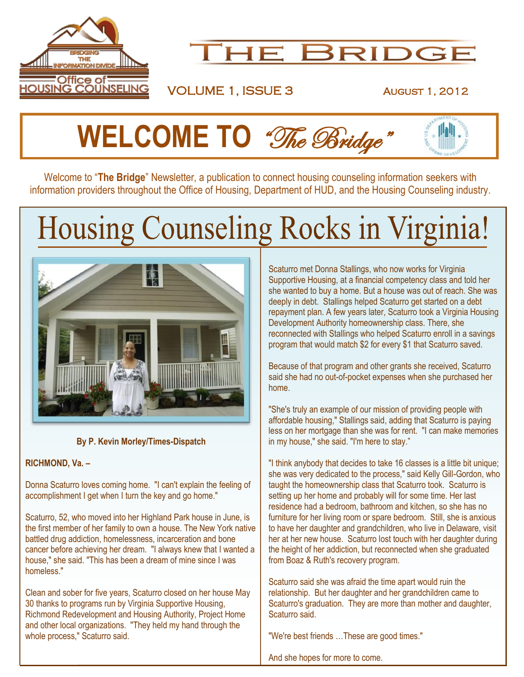



VOLUME 1, ISSUE 3 AUGUST 1, 2012

# **WELCOME TO** *"The Bridge*"

Welcome to "**The Bridge**" Newsletter, a publication to connect housing counseling information seekers with information providers throughout the Office of Housing, Department of HUD, and the Housing Counseling industry.

# Housing Counseling Rocks in Virginia!



#### **By P. Kevin Morley/Times-Dispatch**

#### **RICHMOND, Va. –**

Donna Scaturro loves coming home. "I can't explain the feeling of accomplishment I get when I turn the key and go home."

Scaturro, 52, who moved into her Highland Park house in June, is the first member of her family to own a house. The New York native battled drug addiction, homelessness, incarceration and bone cancer before achieving her dream. "I always knew that I wanted a house," she said. "This has been a dream of mine since I was homeless."

Clean and sober for five years, Scaturro closed on her house May 30 thanks to programs run by Virginia Supportive Housing, Richmond Redevelopment and Housing Authority, Project Home and other local organizations. "They held my hand through the whole process," Scaturro said.

Scaturro met Donna Stallings, who now works for Virginia Supportive Housing, at a financial competency class and told her she wanted to buy a home. But a house was out of reach. She was deeply in debt. Stallings helped Scaturro get started on a debt repayment plan. A few years later, Scaturro took a Virginia Housing Development Authority homeownership class. There, she reconnected with Stallings who helped Scaturro enroll in a savings program that would match \$2 for every \$1 that Scaturro saved.

Because of that program and other grants she received, Scaturro said she had no out-of-pocket expenses when she purchased her home.

"She's truly an example of our mission of providing people with affordable housing," Stallings said, adding that Scaturro is paying less on her mortgage than she was for rent. "I can make memories in my house," she said. "I'm here to stay."

"I think anybody that decides to take 16 classes is a little bit unique; she was very dedicated to the process," said Kelly Gill-Gordon, who taught the homeownership class that Scaturro took. Scaturro is setting up her home and probably will for some time. Her last residence had a bedroom, bathroom and kitchen, so she has no furniture for her living room or spare bedroom. Still, she is anxious to have her daughter and grandchildren, who live in Delaware, visit her at her new house. Scaturro lost touch with her daughter during the height of her addiction, but reconnected when she graduated from Boaz & Ruth's recovery program.

Scaturro said she was afraid the time apart would ruin the relationship. But her daughter and her grandchildren came to Scaturro's graduation. They are more than mother and daughter, Scaturro said.

"We're best friends …These are good times."

And she hopes for more to come.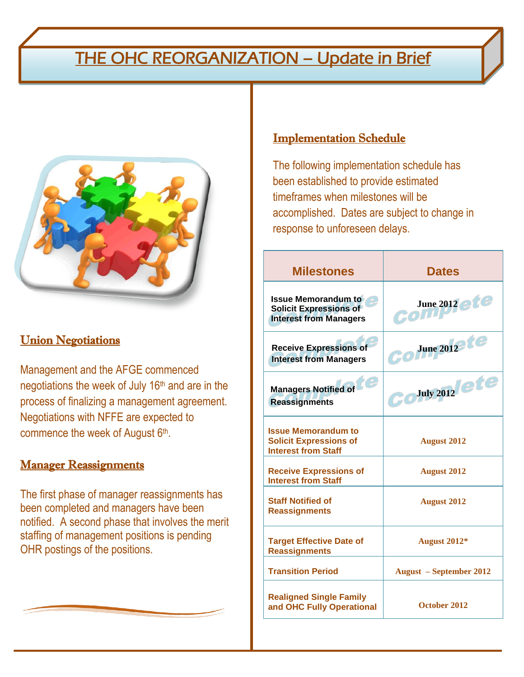## THE OHC REORGANIZATION – Update in Brief



#### **Union Negotiations**

Management and the AFGE commenced negotiations the week of July 16th and are in the process of finalizing a management agreement. Negotiations with NFFE are expected to commence the week of August 6<sup>th</sup>.

#### **Manager Reassignments**

The first phase of manager reassignments has been completed and managers have been notified. A second phase that involves the merit staffing of management positions is pending OHR postings of the positions.

#### Implementation Schedule

The following implementation schedule has been established to provide estimated timeframes when milestones will be accomplished. Dates are subject to change in response to unforeseen delays.

| <b>Milestones</b>                                                                            | <b>Dates</b>                        |
|----------------------------------------------------------------------------------------------|-------------------------------------|
| <b>Issue Memorandum to</b><br><b>Solicit Expressions of</b><br><b>Interest from Managers</b> | June 2012 etc<br>com                |
| <b>Receive Expressions of</b><br><b>Interest from Managers</b>                               | June $2012$ te                      |
| <b>Managers Notified of</b><br><b>Reassignments</b>                                          | $\mathbf{C}^{\text{July 2012}}$ ete |
| <b>Issue Memorandum to</b><br><b>Solicit Expressions of</b><br><b>Interest from Staff</b>    | <b>August 2012</b>                  |
| <b>Receive Expressions of</b><br><b>Interest from Staff</b>                                  | <b>August 2012</b>                  |
| <b>Staff Notified of</b><br><b>Reassignments</b>                                             | <b>August 2012</b>                  |
| <b>Target Effective Date of</b><br><b>Reassignments</b>                                      | August 2012*                        |
| <b>Transition Period</b>                                                                     | <b>August</b> – September 2012      |
| <b>Realigned Single Family</b><br>and OHC Fully Operational                                  | October 2012                        |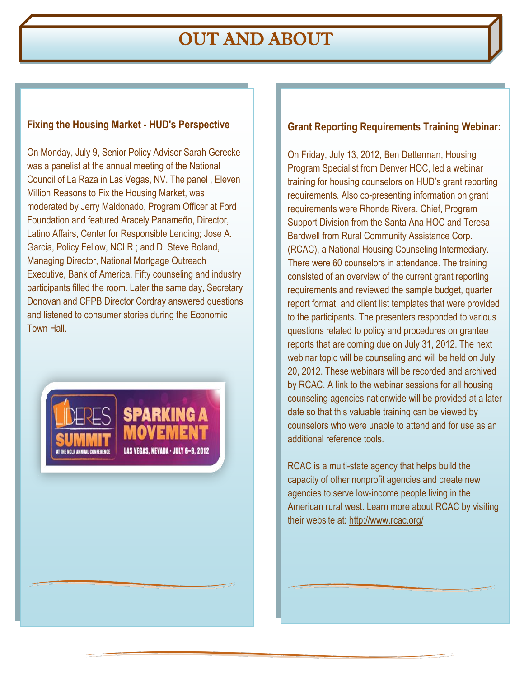## OUT AND ABOUT

#### **Fixing the Housing Market - HUD's Perspective**

On Monday, July 9, Senior Policy Advisor Sarah Gerecke was a panelist at the annual meeting of the National Council of La Raza in Las Vegas, NV. The panel , Eleven Million Reasons to Fix the Housing Market, was moderated by Jerry Maldonado, Program Officer at Ford Foundation and featured Aracely Panameño, Director, Latino Affairs, Center for Responsible Lending; Jose A. Garcia, Policy Fellow, NCLR ; and D. Steve Boland, Managing Director, National Mortgage Outreach Executive, Bank of America. Fifty counseling and industry participants filled the room. Later the same day, Secretary Donovan and CFPB Director Cordray answered questions and listened to consumer stories during the Economic Town Hall.



#### **Grant Reporting Requirements Training Webinar:**

On Friday, July 13, 2012, Ben Detterman, Housing Program Specialist from Denver HOC, led a webinar training for housing counselors on HUD's grant reporting requirements. Also co-presenting information on grant requirements were Rhonda Rivera, Chief, Program Support Division from the Santa Ana HOC and Teresa Bardwell from Rural Community Assistance Corp. (RCAC), a National Housing Counseling Intermediary. There were 60 counselors in attendance. The training consisted of an overview of the current grant reporting requirements and reviewed the sample budget, quarter report format, and client list templates that were provided to the participants. The presenters responded to various questions related to policy and procedures on grantee reports that are coming due on July 31, 2012. The next webinar topic will be counseling and will be held on July 20, 2012. These webinars will be recorded and archived by RCAC. A link to the webinar sessions for all housing counseling agencies nationwide will be provided at a later date so that this valuable training can be viewed by counselors who were unable to attend and for use as an additional reference tools.

RCAC is a multi-state agency that helps build the capacity of other nonprofit agencies and create new agencies to serve low-income people living in the American rural west. Learn more about RCAC by visiting their website at:<http://www.rcac.org/>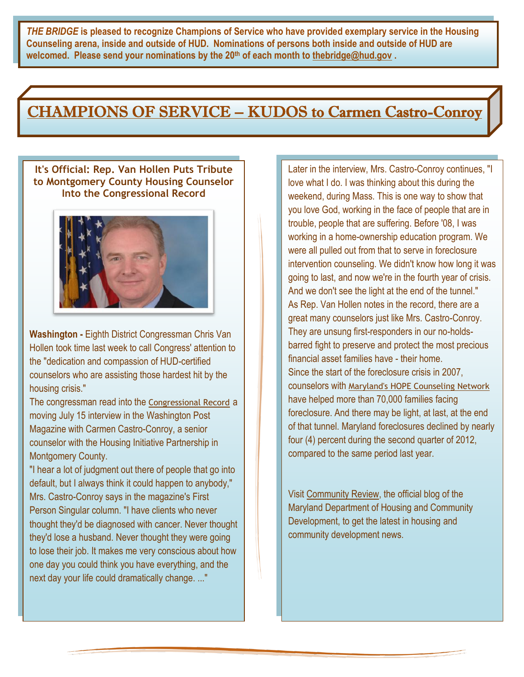*THE BRIDGE* **is pleased to recognize Champions of Service who have provided exemplary service in the Housing Counseling arena, inside and outside of HUD. Nominations of persons both inside and outside of HUD are welcomed. Please send your nominations by the 20th of each month to [thebridge@hud.gov](mailto:thebridge@hud.gov) .**

### CHAMPIONS OF SERVICE – KUDOS to Carmen Castro-Conroy

#### **It's Official: Rep. Van Hollen Puts Tribute to Montgomery County Housing Counselor Into the Congressional Record**



**Washington -** Eighth District Congressman Chris Van Hollen took time last week to call Congress' attention to the "dedication and compassion of HUD-certified counselors who are assisting those hardest hit by the housing crisis."

The congressman read into the [Congressional Record](http://www.gpo.gov/fdsys/pkg/CREC-2012-07-17/pdf/CREC-2012-07-17-pt1-PgE1261-3.pdf#page=1) a moving July 15 interview in the Washington Post Magazine with Carmen Castro-Conroy, a senior counselor with the Housing Initiative Partnership in Montgomery County.

"I hear a lot of judgment out there of people that go into default, but I always think it could happen to anybody," Mrs. Castro-Conroy says in the magazine's First Person Singular column. "I have clients who never thought they'd be diagnosed with cancer. Never thought they'd lose a husband. Never thought they were going to lose their job. It makes me very conscious about how one day you could think you have everything, and the next day your life could dramatically change. ..."

Later in the interview, Mrs. Castro-Conroy continues, "I love what I do. I was thinking about this during the weekend, during Mass. This is one way to show that you love God, working in the face of people that are in trouble, people that are suffering. Before '08, I was working in a home-ownership education program. We were all pulled out from that to serve in foreclosure intervention counseling. We didn't know how long it was going to last, and now we're in the fourth year of crisis. And we don't see the light at the end of the tunnel." As Rep. Van Hollen notes in the record, there are a great many counselors just like Mrs. Castro-Conroy. They are unsung first-responders in our no-holdsbarred fight to preserve and protect the most precious financial asset families have - their home. Since the start of the foreclosure crisis in 2007, counselors with [Maryland's HOPE Counseling Network](http://mdhope.dhcd.maryland.gov/Counseling/Pages/default.aspx) have helped more than 70,000 families facing foreclosure. And there may be light, at last, at the end of that tunnel. Maryland foreclosures declined by nearly four (4) percent during the second quarter of 2012, compared to the same period last year.

Visit [Community Review,](http://blog.mdhousing.org/) the official blog of the Maryland Department of Housing and Community Development, to get the latest in housing and community development news.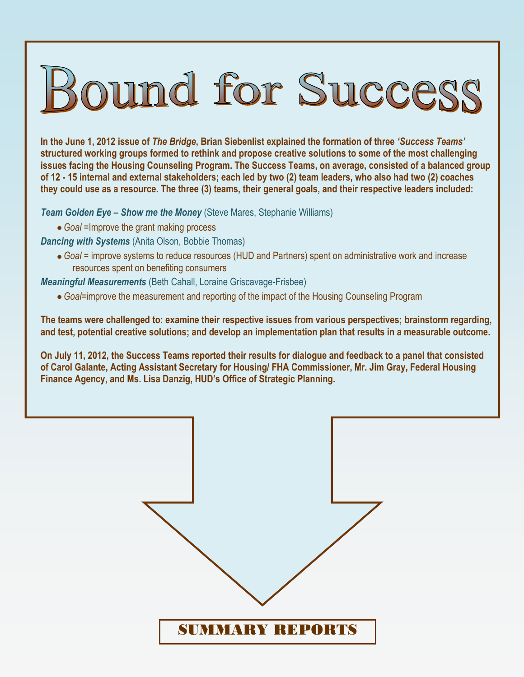# Bound for Success

**In the June 1, 2012 issue of** *The Bridge***, Brian Siebenlist explained the formation of three** *'Success Teams'* **structured working groups formed to rethink and propose creative solutions to some of the most challenging issues facing the Housing Counseling Program. The Success Teams, on average, consisted of a balanced group of 12 - 15 internal and external stakeholders; each led by two (2) team leaders, who also had two (2) coaches they could use as a resource. The three (3) teams, their general goals, and their respective leaders included:**

*Team Golden Eye – Show me the Money* (Steve Mares, Stephanie Williams)

*Goal* =Improve the grant making process

*Dancing with Systems* (Anita Olson, Bobbie Thomas)

*Goal* = improve systems to reduce resources (HUD and Partners) spent on administrative work and increase resources spent on benefiting consumers

*Meaningful Measurements* (Beth Cahall, Loraine Griscavage-Frisbee)

*Goal*=improve the measurement and reporting of the impact of the Housing Counseling Program

**The teams were challenged to: examine their respective issues from various perspectives; brainstorm regarding, and test, potential creative solutions; and develop an implementation plan that results in a measurable outcome.**

**On July 11, 2012, the Success Teams reported their results for dialogue and feedback to a panel that consisted of Carol Galante, Acting Assistant Secretary for Housing/ FHA Commissioner, Mr. Jim Gray, Federal Housing Finance Agency, and Ms. Lisa Danzig, HUD's Office of Strategic Planning.**

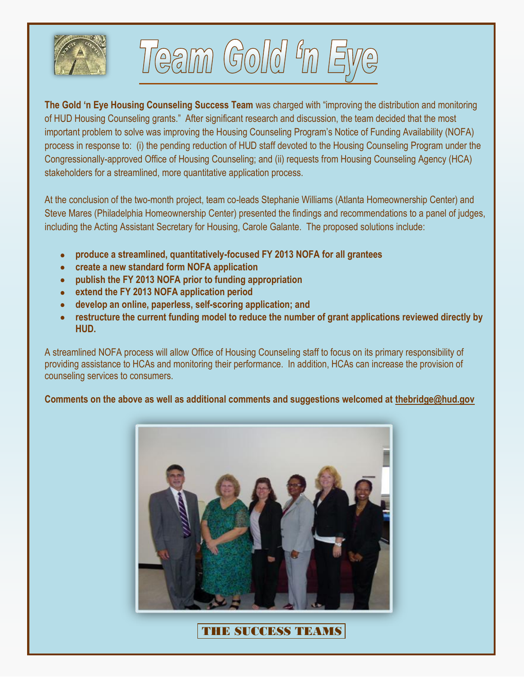



**The Gold 'n Eye Housing Counseling Success Team** was charged with "improving the distribution and monitoring of HUD Housing Counseling grants." After significant research and discussion, the team decided that the most important problem to solve was improving the Housing Counseling Program's Notice of Funding Availability (NOFA) process in response to: (i) the pending reduction of HUD staff devoted to the Housing Counseling Program under the Congressionally-approved Office of Housing Counseling; and (ii) requests from Housing Counseling Agency (HCA) stakeholders for a streamlined, more quantitative application process.

At the conclusion of the two-month project, team co-leads Stephanie Williams (Atlanta Homeownership Center) and Steve Mares (Philadelphia Homeownership Center) presented the findings and recommendations to a panel of judges, including the Acting Assistant Secretary for Housing, Carole Galante. The proposed solutions include:

- **produce a streamlined, quantitatively-focused FY 2013 NOFA for all grantees**
- **create a new standard form NOFA application**
- **publish the FY 2013 NOFA prior to funding appropriation**
- **extend the FY 2013 NOFA application period**
- **develop an online, paperless, self-scoring application; and**
- **restructure the current funding model to reduce the number of grant applications reviewed directly by HUD.**

A streamlined NOFA process will allow Office of Housing Counseling staff to focus on its primary responsibility of providing assistance to HCAs and monitoring their performance. In addition, HCAs can increase the provision of counseling services to consumers.

#### **Comments on the above as well as additional comments and suggestions welcomed at [thebridge@hud.gov](mailto:thebridge@hud.gov)**



THE SUCCESS TEAMS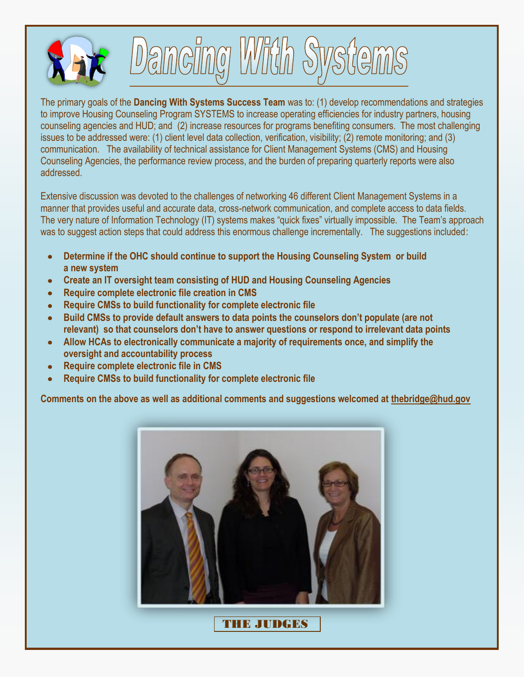



The primary goals of the **Dancing With Systems Success Team** was to: (1) develop recommendations and strategies to improve Housing Counseling Program SYSTEMS to increase operating efficiencies for industry partners, housing counseling agencies and HUD; and (2) increase resources for programs benefiting consumers. The most challenging issues to be addressed were: (1) client level data collection, verification, visibility; (2) remote monitoring; and (3) communication. The availability of technical assistance for Client Management Systems (CMS) and Housing Counseling Agencies, the performance review process, and the burden of preparing quarterly reports were also addressed.

Extensive discussion was devoted to the challenges of networking 46 different Client Management Systems in a manner that provides useful and accurate data, cross-network communication, and complete access to data fields. The very nature of Information Technology (IT) systems makes "quick fixes" virtually impossible. The Team's approach was to suggest action steps that could address this enormous challenge incrementally. The suggestions included:

- **Determine if the OHC should continue to support the Housing Counseling System or build a new system**
- **Create an IT oversight team consisting of HUD and Housing Counseling Agencies**
- **Require complete electronic file creation in CMS**  $\bullet$
- **Require CMSs to build functionality for complete electronic file**  $\bullet$
- **Build CMSs to provide default answers to data points the counselors don't populate (are not relevant) so that counselors don't have to answer questions or respond to irrelevant data points**
- **Allow HCAs to electronically communicate a majority of requirements once, and simplify the oversight and accountability process**
- **Require complete electronic file in CMS**  $\bullet$
- **Require CMSs to build functionality for complete electronic file**  $\bullet$

**Comments on the above as well as additional comments and suggestions welcomed at [thebridge@hud.gov](mailto:thebridge@hud.gov)**



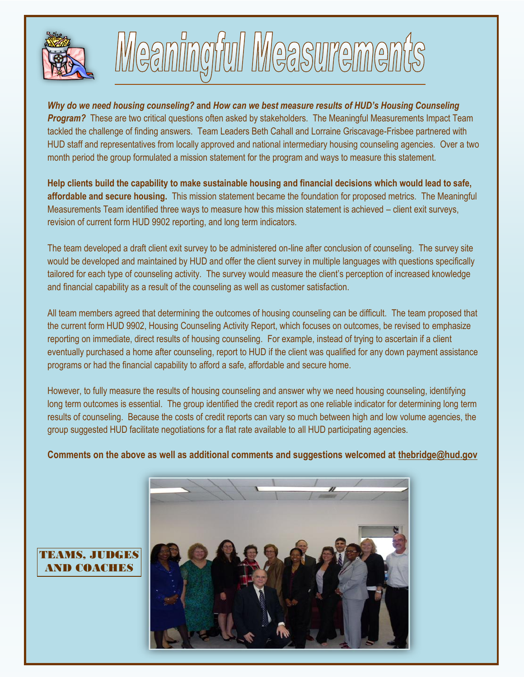



*Why do we need housing counseling?* **and** *How can we best measure results of HUD's Housing Counseling Program?* These are two critical questions often asked by stakeholders. The Meaningful Measurements Impact Team tackled the challenge of finding answers. Team Leaders Beth Cahall and Lorraine Griscavage-Frisbee partnered with HUD staff and representatives from locally approved and national intermediary housing counseling agencies. Over a two month period the group formulated a mission statement for the program and ways to measure this statement.

**Help clients build the capability to make sustainable housing and financial decisions which would lead to safe, affordable and secure housing.** This mission statement became the foundation for proposed metrics. The Meaningful Measurements Team identified three ways to measure how this mission statement is achieved – client exit surveys, revision of current form HUD 9902 reporting, and long term indicators.

The team developed a draft client exit survey to be administered on-line after conclusion of counseling. The survey site would be developed and maintained by HUD and offer the client survey in multiple languages with questions specifically tailored for each type of counseling activity. The survey would measure the client's perception of increased knowledge and financial capability as a result of the counseling as well as customer satisfaction.

All team members agreed that determining the outcomes of housing counseling can be difficult. The team proposed that the current form HUD 9902, Housing Counseling Activity Report, which focuses on outcomes, be revised to emphasize reporting on immediate, direct results of housing counseling. For example, instead of trying to ascertain if a client eventually purchased a home after counseling, report to HUD if the client was qualified for any down payment assistance programs or had the financial capability to afford a safe, affordable and secure home.

However, to fully measure the results of housing counseling and answer why we need housing counseling, identifying long term outcomes is essential. The group identified the credit report as one reliable indicator for determining long term results of counseling. Because the costs of credit reports can vary so much between high and low volume agencies, the group suggested HUD facilitate negotiations for a flat rate available to all HUD participating agencies.

#### **Comments on the above as well as additional comments and suggestions welcomed at [thebridge@hud.gov](mailto:thebridge@hud.gov)**



#### TEAMS, JUDGES AND COACHES